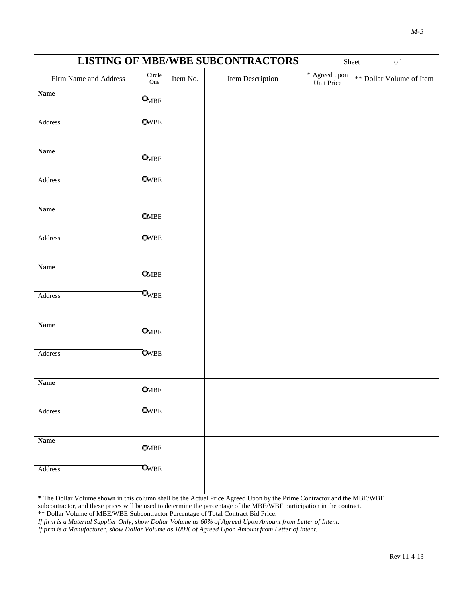|                       |                                 |          | <b>LISTING OF MBE/WBE SUBCONTRACTORS</b> |                                   | Sheet ___________ of _________ |
|-----------------------|---------------------------------|----------|------------------------------------------|-----------------------------------|--------------------------------|
| Firm Name and Address | $\mbox{Circle}$<br>One          | Item No. | Item Description                         | $^\ast$ Agreed upon<br>Unit Price | ** Dollar Volume of Item       |
| <b>Name</b>           | $\mathsf{Q}_{\text{MBE}}$       |          |                                          |                                   |                                |
| Address               | <b>O</b> WBE                    |          |                                          |                                   |                                |
| <b>Name</b>           | $\mathsf{O}_{\!\!\mathsf{MBE}}$ |          |                                          |                                   |                                |
| Address               | OWBE                            |          |                                          |                                   |                                |
| <b>Name</b>           | <b>O</b> MBE                    |          |                                          |                                   |                                |
| Address               | <b>O</b> WBE                    |          |                                          |                                   |                                |
| <b>Name</b>           | <b>O</b> MBE                    |          |                                          |                                   |                                |
| Address               | $\mathsf{Q}_{\text{WBE}}$       |          |                                          |                                   |                                |
| <b>Name</b>           | $\mathsf{O}_{\!\!\mathsf{MBE}}$ |          |                                          |                                   |                                |
| Address               | <b>O</b> WBE                    |          |                                          |                                   |                                |
| <b>Name</b>           | <b>OMBE</b>                     |          |                                          |                                   |                                |
| Address               | OWBE                            |          |                                          |                                   |                                |
| Name                  | <b>OMBE</b>                     |          |                                          |                                   |                                |
| Address               | $\mathbf{o}_{\rm WBE}$          |          |                                          |                                   |                                |

**\*** The Dollar Volume shown in this column shall be the Actual Price Agreed Upon by the Prime Contractor and the MBE/WBE subcontractor, and these prices will be used to determine the percentage of the MBE/WBE participation in the contract.

\*\* Dollar Volume of MBE/WBE Subcontractor Percentage of Total Contract Bid Price:

*If firm is a Material Supplier Only, show Dollar Volume as 60% of Agreed Upon Amount from Letter of Intent.*

*If firm is a Manufacturer, show Dollar Volume as 100% of Agreed Upon Amount from Letter of Intent.*